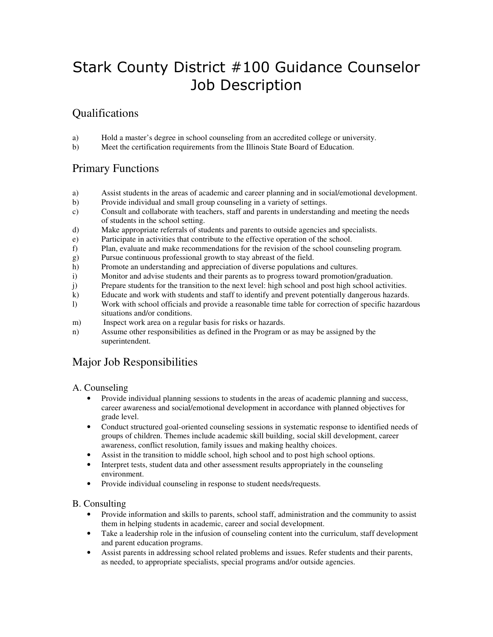# Stark County District #100 Guidance Counselor Job Description

# Qualifications

- a) Hold a master's degree in school counseling from an accredited college or university.
- b) Meet the certification requirements from the Illinois State Board of Education.

# Primary Functions

- a) Assist students in the areas of academic and career planning and in social/emotional development.
- b) Provide individual and small group counseling in a variety of settings.
- c) Consult and collaborate with teachers, staff and parents in understanding and meeting the needs of students in the school setting.
- d) Make appropriate referrals of students and parents to outside agencies and specialists.
- e) Participate in activities that contribute to the effective operation of the school.
- f) Plan, evaluate and make recommendations for the revision of the school counseling program.
- g) Pursue continuous professional growth to stay abreast of the field.
- h) Promote an understanding and appreciation of diverse populations and cultures.
- i) Monitor and advise students and their parents as to progress toward promotion/graduation.
- j) Prepare students for the transition to the next level: high school and post high school activities.
- k) Educate and work with students and staff to identify and prevent potentially dangerous hazards.
- l) Work with school officials and provide a reasonable time table for correction of specific hazardous situations and/or conditions.
- m) Inspect work area on a regular basis for risks or hazards.
- n) Assume other responsibilities as defined in the Program or as may be assigned by the superintendent.

# Major Job Responsibilities

# A. Counseling

- Provide individual planning sessions to students in the areas of academic planning and success, career awareness and social/emotional development in accordance with planned objectives for grade level.
- Conduct structured goal-oriented counseling sessions in systematic response to identified needs of groups of children. Themes include academic skill building, social skill development, career awareness, conflict resolution, family issues and making healthy choices.
- Assist in the transition to middle school, high school and to post high school options.
- Interpret tests, student data and other assessment results appropriately in the counseling environment.
- Provide individual counseling in response to student needs/requests.

# B. Consulting

- Provide information and skills to parents, school staff, administration and the community to assist them in helping students in academic, career and social development.
- Take a leadership role in the infusion of counseling content into the curriculum, staff development and parent education programs.
- Assist parents in addressing school related problems and issues. Refer students and their parents, as needed, to appropriate specialists, special programs and/or outside agencies.